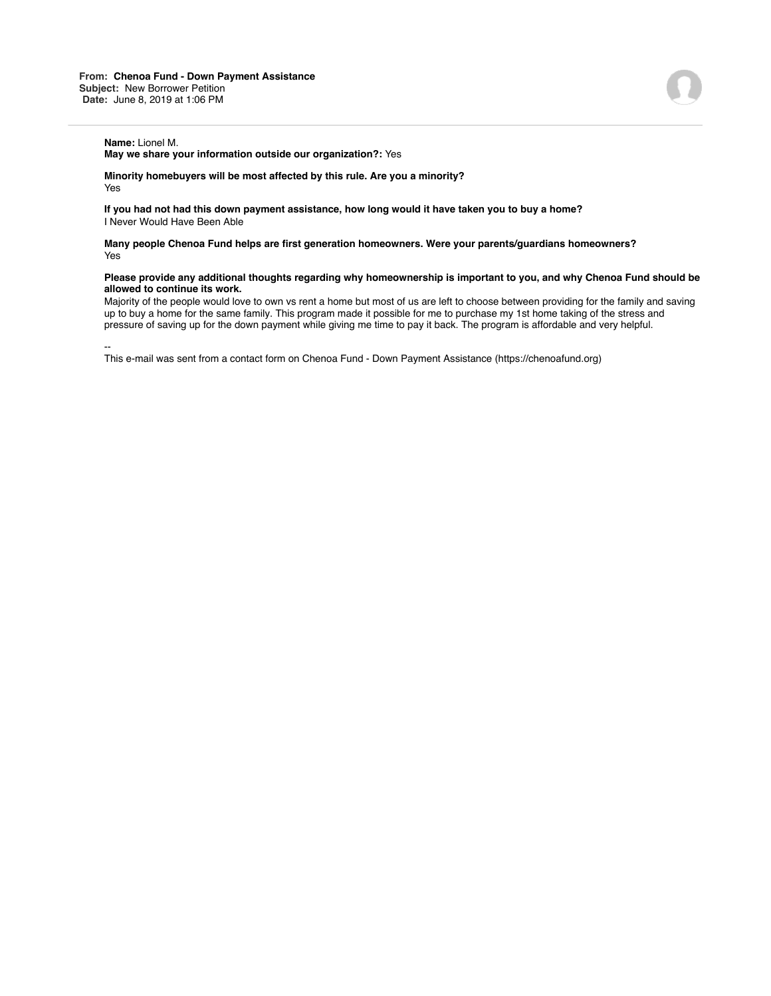**May we share your information outside our organization?:** Yes

**Minority homebuyers will be most affected by this rule. Are you a minority?** Yes

**If you had not had this down payment assistance, how long would it have taken you to buy a home?** I Never Would Have Been Able

**Many people Chenoa Fund helps are first generation homeowners. Were your parents/guardians homeowners?** Yes

## **Please provide any additional thoughts regarding why homeownership is important to you, and why Chenoa Fund should be allowed to continue its work.**

Majority of the people would love to own vs rent a home but most of us are left to choose between providing for the family and saving up to buy a home for the same family. This program made it possible for me to purchase my 1st home taking of the stress and pressure of saving up for the down payment while giving me time to pay it back. The program is affordable and very helpful.

--

This e-mail was sent from a contact form on Chenoa Fund - Down Payment Assistance (https://chenoafund.org)